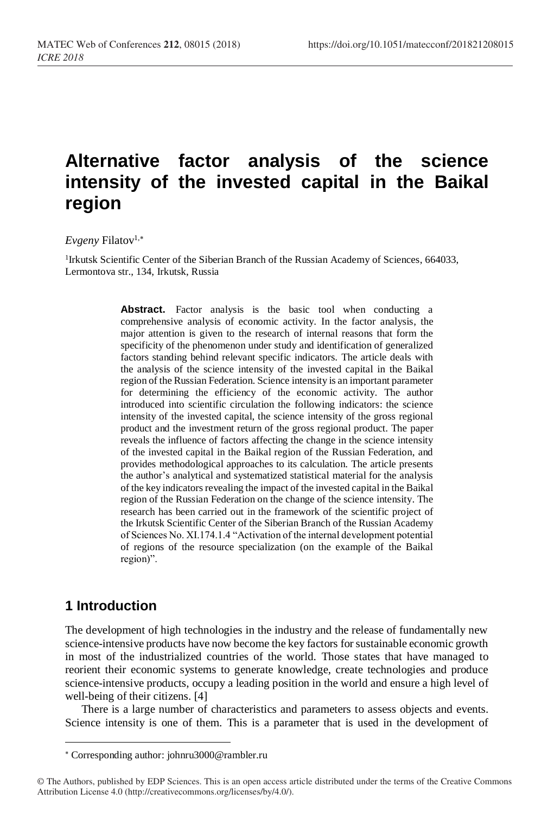# **Alternative factor analysis of the science intensity of the invested capital in the Baikal region**

#### *Evgeny* Filatov<sup>1,\*</sup>

<sup>1</sup>Irkutsk Scientific Center of the Siberian Branch of the Russian Academy of Sciences, 664033, Lermontova str., 134, Irkutsk, Russia

> Abstract. Factor analysis is the basic tool when conducting a comprehensive analysis of economic activity. In the factor analysis, the major attention is given to the research of internal reasons that form the specificity of the phenomenon under study and identification of generalized factors standing behind relevant specific indicators. The article deals with the analysis of the science intensity of the invested capital in the Baikal region of the Russian Federation. Science intensity is an important parameter for determining the efficiency of the economic activity. The author introduced into scientific circulation the following indicators: the science intensity of the invested capital, the science intensity of the gross regional product and the investment return of the gross regional product. The paper reveals the influence of factors affecting the change in the science intensity of the invested capital in the Baikal region of the Russian Federation, and provides methodological approaches to its calculation. The article presents the author's analytical and systematized statistical material for the analysis of the key indicators revealing the impact of the invested capital in the Baikal region of the Russian Federation on the change of the science intensity. The research has been carried out in the framework of the scientific project of the Irkutsk Scientific Center of the Siberian Branch of the Russian Academy of Sciences No. XI.174.1.4 "Activation of the internal development potential of regions of the resource specialization (on the example of the Baikal region)".

#### **1 Introduction**

l

The development of high technologies in the industry and the release of fundamentally new science-intensive products have now become the key factors for sustainable economic growth in most of the industrialized countries of the world. Those states that have managed to reorient their economic systems to generate knowledge, create technologies and produce science-intensive products, occupy a leading position in the world and ensure a high level of well-being of their citizens. [4]

There is a large number of characteristics and parameters to assess objects and events. Science intensity is one of them. This is a parameter that is used in the development of

Corresponding author[: johnru3000@rambler.ru](mailto:johnru3000@rambler.ru)

<sup>©</sup> The Authors, published by EDP Sciences. This is an open access article distributed under the terms of the Creative Commons Attribution License 4.0 (http://creativecommons.org/licenses/by/4.0/).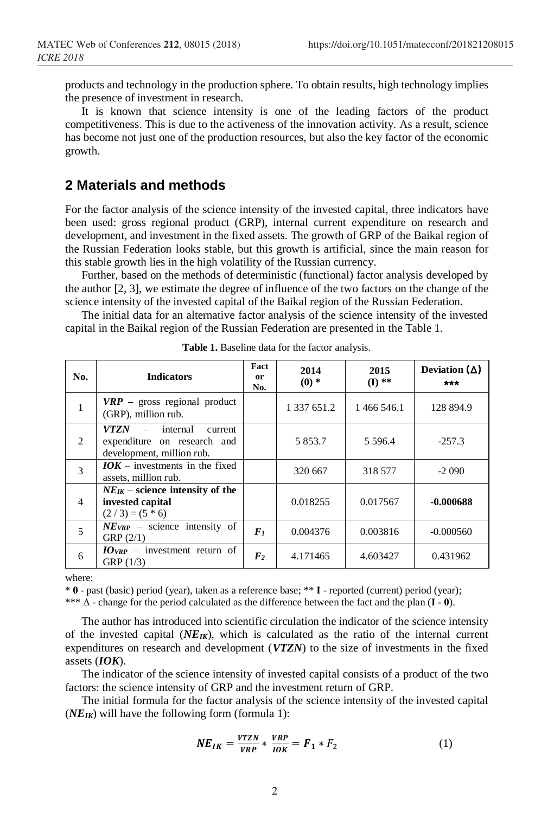products and technology in the production sphere. To obtain results, high technology implies the presence of investment in research.

It is known that science intensity is one of the leading factors of the product competitiveness. This is due to the activeness of the innovation activity. As a result, science has become not just one of the production resources, but also the key factor of the economic growth.

#### **2 Materials and methods**

For the factor analysis of the science intensity of the invested capital, three indicators have been used: gross regional product (GRP), internal current expenditure on research and development, and investment in the fixed assets. The growth of GRP of the Baikal region of the Russian Federation looks stable, but this growth is artificial, since the main reason for this stable growth lies in the high volatility of the Russian currency.

Further, based on the methods of deterministic (functional) factor analysis developed by the author [2, 3], we estimate the degree of influence of the two factors on the change of the science intensity of the invested capital of the Baikal region of the Russian Federation.

The initial data for an alternative factor analysis of the science intensity of the invested capital in the Baikal region of the Russian Federation are presented in the Table 1.

| No.                           | <b>Indicators</b>                                                                        | Fact<br><sub>or</sub><br>No. | 2014<br>$(0)*$ | 2015<br>$(I)$ ** | Deviation $(\Delta)$<br>*** |
|-------------------------------|------------------------------------------------------------------------------------------|------------------------------|----------------|------------------|-----------------------------|
| $\mathbf{1}$                  | $VRP$ – gross regional product<br>(GRP), million rub.                                    |                              | 1 337 651.2    | 1466546.1        | 128 894.9                   |
| $\mathfrak{D}_{\mathfrak{p}}$ | $VTZN$ – internal<br>current<br>expenditure on research and<br>development, million rub. |                              | 5 8 5 3 . 7    | 5 5 9 6 .4       | $-257.3$                    |
| 3                             | $IOK -$ investments in the fixed<br>assets, million rub.                                 |                              | 320 667        | 318 577          | $-2090$                     |
| $\overline{4}$                | $NE_{IK}$ – science intensity of the<br>invested capital<br>$(2/3) = (5 * 6)$            |                              | 0.018255       | 0.017567         | $-0.000688$                 |
| 5                             | $NE_{VRP}$ – science intensity of<br>GRP(2/1)                                            | $F_I$                        | 0.004376       | 0.003816         | $-0.000560$                 |
| 6                             | $IO_{VRP}$ – investment return of<br>GRP(1/3)                                            | $\mathbf{F}_2$               | 4.171465       | 4.603427         | 0.431962                    |

**Table 1.** Baseline data for the factor analysis.

where:

\* **0** - past (basic) period (year), taken as a reference base; \*\* **I** - reported (current) period (year);

\*\*\* Δ - change for the period calculated as the difference between the fact and the plan (**I - 0**).

The author has introduced into scientific circulation the indicator of the science intensity of the invested capital  $(NE_{IK})$ , which is calculated as the ratio of the internal current expenditures on research and development (*VTZN*) to the size of investments in the fixed assets (*IOK*).

The indicator of the science intensity of invested capital consists of a product of the two factors: the science intensity of GRP and the investment return of GRP.

The initial formula for the factor analysis of the science intensity of the invested capital  $(NE_{IK})$  will have the following form (formula 1):

$$
NE_{IK} = \frac{VTZN}{VRP} * \frac{VRP}{IOK} = F_1 * F_2 \tag{1}
$$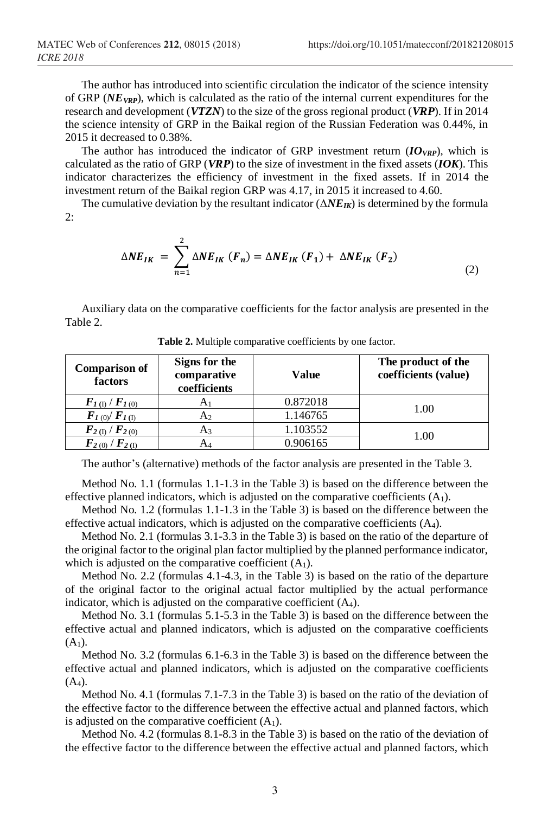The author has introduced into scientific circulation the indicator of the science intensity of GRP (*NEVRP*), which is calculated as the ratio of the internal current expenditures for the research and development (*VTZN*) to the size of the gross regional product (*VRP*). If in 2014 the science intensity of GRP in the Baikal region of the Russian Federation was 0.44%, in 2015 it decreased to 0.38%.

The author has introduced the indicator of GRP investment return  $(IO_{VRP})$ , which is calculated as the ratio of GRP (*VRP*) to the size of investment in the fixed assets (*IOK*). This indicator characterizes the efficiency of investment in the fixed assets. If in 2014 the investment return of the Baikal region GRP was 4.17, in 2015 it increased to 4.60.

The cumulative deviation by the resultant indicator (Δ*NEIK*) is determined by the formula  $2$ :

$$
\Delta NE_{IK} = \sum_{n=1}^{2} \Delta NE_{IK} (F_n) = \Delta NE_{IK} (F_1) + \Delta NE_{IK} (F_2)
$$
\n(2)

Auxiliary data on the comparative coefficients for the factor analysis are presented in the Table 2.

| <b>Comparison of</b><br>factors       | Signs for the<br>comparative<br>coefficients | Value    | The product of the<br>coefficients (value) |  |
|---------------------------------------|----------------------------------------------|----------|--------------------------------------------|--|
| $F_{I(1)}/F_{I(0)}$                   | A1                                           | 0.872018 |                                            |  |
| $\bm{F}_{1(0)}/\bm{F}_{1(1)}$         | A2                                           | 1.146765 | 1.00                                       |  |
| $F_{2 (I)}/F_{2 (0)}$                 | A٩                                           | 1.103552 |                                            |  |
| $\mathbf{F}_{2(0)}/\mathbf{F}_{2(0)}$ | AΔ                                           | 0.906165 | 1.00                                       |  |

**Table 2.** Multiple comparative coefficients by one factor.

The author's (alternative) methods of the factor analysis are presented in the Table 3.

Method No. 1.1 (formulas 1.1-1.3 in the Table 3) is based on the difference between the effective planned indicators, which is adjusted on the comparative coefficients  $(A_1)$ .

Method No. 1.2 (formulas 1.1-1.3 in the Table 3) is based on the difference between the effective actual indicators, which is adjusted on the comparative coefficients (A4).

Method No. 2.1 (formulas 3.1-3.3 in the Table 3) is based on the ratio of the departure of the original factor to the original plan factor multiplied by the planned performance indicator, which is adjusted on the comparative coefficient  $(A_1)$ .

Method No. 2.2 (formulas 4.1-4.3, in the Table 3) is based on the ratio of the departure of the original factor to the original actual factor multiplied by the actual performance indicator, which is adjusted on the comparative coefficient  $(A<sub>4</sub>)$ .

Method No. 3.1 (formulas 5.1-5.3 in the Table 3) is based on the difference between the effective actual and planned indicators, which is adjusted on the comparative coefficients  $(A_1)$ .

Method No. 3.2 (formulas 6.1-6.3 in the Table 3) is based on the difference between the effective actual and planned indicators, which is adjusted on the comparative coefficients  $(A_4)$ .

Method No. 4.1 (formulas 7.1-7.3 in the Table 3) is based on the ratio of the deviation of the effective factor to the difference between the effective actual and planned factors, which is adjusted on the comparative coefficient  $(A_1)$ .

Method No. 4.2 (formulas 8.1-8.3 in the Table 3) is based on the ratio of the deviation of the effective factor to the difference between the effective actual and planned factors, which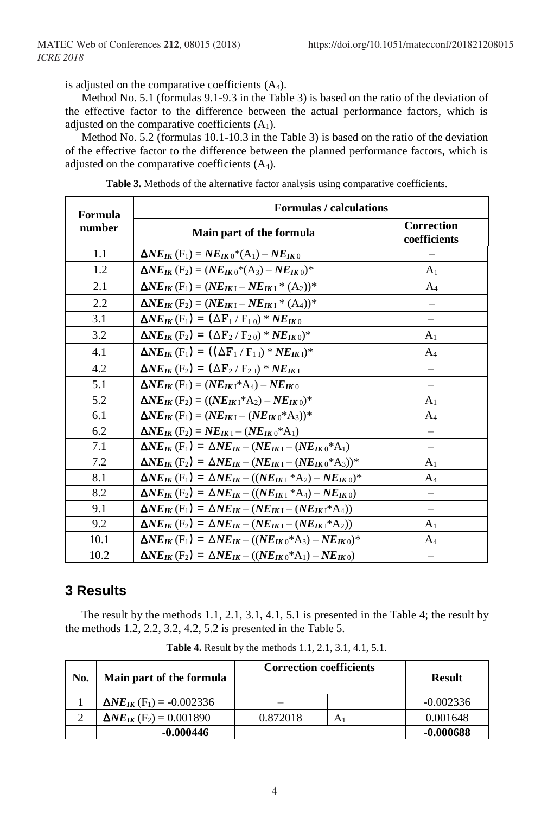is adjusted on the comparative coefficients  $(A_4)$ .

Method No. 5.1 (formulas 9.1-9.3 in the Table 3) is based on the ratio of the deviation of the effective factor to the difference between the actual performance factors, which is adjusted on the comparative coefficients  $(A_1)$ .

Method No. 5.2 (formulas 10.1-10.3 in the Table 3) is based on the ratio of the deviation of the effective factor to the difference between the planned performance factors, which is adjusted on the comparative coefficients (A4).

| Formula | <b>Formulas / calculations</b>                                                                                                  |                                   |
|---------|---------------------------------------------------------------------------------------------------------------------------------|-----------------------------------|
| number  | Main part of the formula                                                                                                        | <b>Correction</b><br>coefficients |
| 1.1     | $\Delta NE_{IK}$ (F <sub>1</sub> ) = $NE_{IK}$ (*(A <sub>1</sub> ) – $NE_{IK}$ (*)                                              |                                   |
| 1.2     | $\Delta NE_{IK}$ (F <sub>2</sub> ) = $(NE_{IK0}*(A_3) - NE_{IK0})*$                                                             | A <sub>1</sub>                    |
| 2.1     | $\Delta NE_{IK}$ (F <sub>1</sub> ) = ( $NE_{IK}$ <sub>I</sub> – $NE_{IK}$ <sub>I</sub> * (A <sub>2</sub> ))*                    | $A_4$                             |
| 2.2     | $\Delta NE_{IK}$ (F <sub>2</sub> ) = ( $NE_{IK}$ <sub>I</sub> – $NE_{IK}$ <sub>I</sub> * (A <sub>4</sub> )) <sup>*</sup>        |                                   |
| 3.1     | $\Delta NE_{IK}$ (F <sub>1</sub> ) = $(\Delta F_1 / F_{10}) * NE_{IK}$                                                          | $\qquad \qquad -$                 |
| 3.2     | $\Delta NE_{IK}$ (F <sub>2</sub> ) = $(\Delta F_2/F_{20}) * NE_{IK0})^*$                                                        | A <sub>1</sub>                    |
| 4.1     | $\Delta NE_{IK}$ (F <sub>1</sub> ) = $((\Delta F_1 / F_{1I}) * NE_{IKI})^*$                                                     | $A_4$                             |
| 4.2     | $\Delta NE_{IK}$ (F <sub>2</sub> ) = $(\Delta F_2 / F_2)$ * $NE_{IK}$                                                           |                                   |
| 5.1     | $\Delta NE_{IK}$ (F <sub>1</sub> ) = ( $NE_{IK1}$ <sup>*</sup> A <sub>4</sub> ) – $NE_{IK0}$                                    |                                   |
| 5.2     | $\Delta NE_{IK}$ (F <sub>2</sub> ) = (( $NE_{IK1}$ <sup>*</sup> A <sub>2</sub> ) – $NE_{IK0}$ ) <sup>*</sup>                    | A <sub>1</sub>                    |
| 6.1     | $\Delta NE_{IK}$ (F <sub>1</sub> ) = $(NE_{IK1} - (NE_{IK0} * A_3))$ *                                                          | $A_4$                             |
| 6.2     | $\Delta NE_{IK}$ (F <sub>2</sub> ) = $NE_{IK1}$ – ( $NE_{IK0}$ <sup>*</sup> A <sub>1</sub> )                                    | —                                 |
| 7.1     | $\Delta NE_{IK}$ (F <sub>1</sub> ) = $\Delta NE_{IK}$ – ( $NE_{IK}$ <sub>1</sub> – ( $NE_{IK}$ <sup>*</sup> A <sub>1</sub> )    | $\overline{\phantom{0}}$          |
| 7.2     | $\Delta NE_{IK}$ (F <sub>2</sub> ) = $\Delta NE_{IK} - (NE_{IK1} - (NE_{IK0} * A_3))$ *                                         | A <sub>1</sub>                    |
| 8.1     | $\Delta NE_{IK}$ (F <sub>1</sub> ) = $\Delta NE_{IK}$ – (( $NE_{IK}$ <sub>1</sub> *A <sub>2</sub> ) – $NE_{IK}$ <sub>0</sub> )* | $A_4$                             |
| 8.2     | $\Delta NE_{IK}$ (F <sub>2</sub> ) = $\Delta NE_{IK}$ – (( $NE_{IK}$ <sub>1</sub> *A <sub>4</sub> ) – $NE_{IK}$ <sub>0</sub> )  |                                   |
| 9.1     | $\Delta NE_{IK}(F_1) = \Delta NE_{IK} - (NE_{IK1} - (NE_{IK1} * A_4))$                                                          |                                   |
| 9.2     | $\Delta NE_{IK}$ (F <sub>2</sub> ) = $\Delta NE_{IK}$ – ( $NE_{IK}$ <sub>1</sub> – ( $NE_{IK}$ <sub>1</sub> *A <sub>2</sub> ))  | A <sub>1</sub>                    |
| 10.1    | $\Delta NE_{IK}$ (F <sub>1</sub> ) = $\Delta NE_{IK}$ – (( $NE_{IK}$ <sub>0</sub> *A <sub>3</sub> ) – $NE_{IK}$ <sub>0</sub> )* | $A_4$                             |
| 10.2    | $\Delta NE_{IK}$ (F <sub>2</sub> ) = $\Delta NE_{IK}$ – (( $NE_{IK}$ <sub>0</sub> *A <sub>1</sub> ) – $NE_{IK}$ <sub>0</sub> )  | $\overline{\phantom{m}}$          |

**Table 3.** Methods of the alternative factor analysis using comparative coefficients.

## **3 Results**

The result by the methods 1.1, 2.1, 3.1, 4.1, 5.1 is presented in the Table 4; the result by the methods 1.2, 2.2, 3.2, 4.2, 5.2 is presented in the Table 5.

| No. | Main part of the formula                       | <b>Correction coefficients</b> |   | <b>Result</b> |
|-----|------------------------------------------------|--------------------------------|---|---------------|
|     | $\Delta NE_{IK}$ (F <sub>1</sub> ) = -0.002336 |                                |   | $-0.002336$   |
|     | $\Delta NE_{IK}$ (F <sub>2</sub> ) = 0.001890  | 0.872018                       | А | 0.001648      |
|     | $-0.000446$                                    |                                |   | -0.000688     |

**Table 4.** Result by the methods 1.1, 2.1, 3.1, 4.1, 5.1.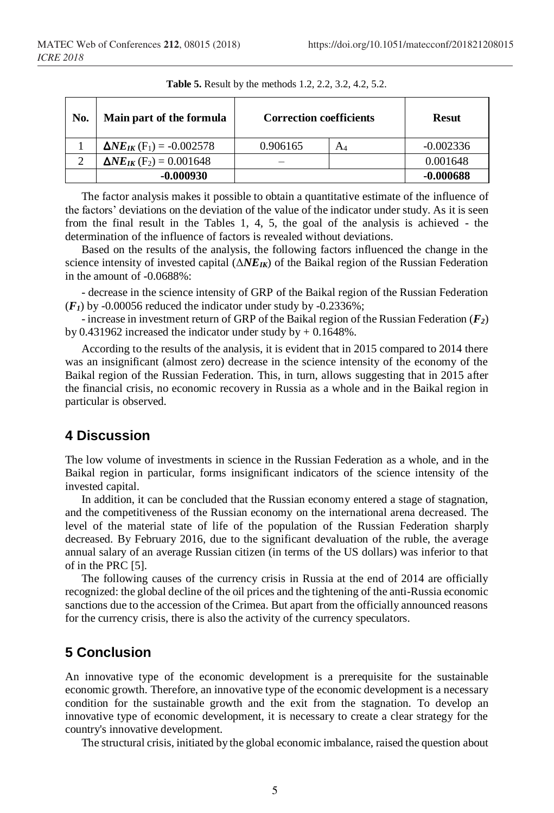| No. | Main part of the formula                       | <b>Correction coefficients</b> | <b>Resut</b> |             |
|-----|------------------------------------------------|--------------------------------|--------------|-------------|
|     | $\Delta NE_{IK}$ (F <sub>1</sub> ) = -0.002578 | 0.906165                       | A4           | $-0.002336$ |
| 2   | $\Delta NE_{IK}$ (F <sub>2</sub> ) = 0.001648  |                                |              | 0.001648    |
|     | $-0.000930$                                    |                                |              | $-0.000688$ |

**Table 5.** Result by the methods 1.2, 2.2, 3.2, 4.2, 5.2.

The factor analysis makes it possible to obtain a quantitative estimate of the influence of the factors' deviations on the deviation of the value of the indicator under study. As it is seen from the final result in the Tables 1, 4, 5, the goal of the analysis is achieved - the determination of the influence of factors is revealed without deviations.

Based on the results of the analysis, the following factors influenced the change in the science intensity of invested capital (Δ*NEIK*) of the Baikal region of the Russian Federation in the amount of -0.0688%:

- decrease in the science intensity of GRP of the Baikal region of the Russian Federation  $(F<sub>I</sub>)$  by -0.00056 reduced the indicator under study by -0.2336%;

- increase in investment return of GRP of the Baikal region of the Russian Federation (*F2*) by 0.431962 increased the indicator under study by  $+$  0.1648%.

According to the results of the analysis, it is evident that in 2015 compared to 2014 there was an insignificant (almost zero) decrease in the science intensity of the economy of the Baikal region of the Russian Federation. This, in turn, allows suggesting that in 2015 after the financial crisis, no economic recovery in Russia as a whole and in the Baikal region in particular is observed.

# **4 Discussion**

The low volume of investments in science in the Russian Federation as a whole, and in the Baikal region in particular, forms insignificant indicators of the science intensity of the invested capital.

In addition, it can be concluded that the Russian economy entered a stage of stagnation, and the competitiveness of the Russian economy on the international arena decreased. The level of the material state of life of the population of the Russian Federation sharply decreased. By February 2016, due to the significant devaluation of the ruble, the average annual salary of an average Russian citizen (in terms of the US dollars) was inferior to that of in the PRC [5].

The following causes of the currency crisis in Russia at the end of 2014 are officially recognized: the global decline of the oil prices and the tightening of the anti-Russia economic sanctions due to the accession of the Crimea. But apart from the officially announced reasons for the currency crisis, there is also the activity of the currency speculators.

# **5 Conclusion**

An innovative type of the economic development is a prerequisite for the sustainable economic growth. Therefore, an innovative type of the economic development is a necessary condition for the sustainable growth and the exit from the stagnation. To develop an innovative type of economic development, it is necessary to create a clear strategy for the country's innovative development.

The structural crisis, initiated by the global economic imbalance, raised the question about